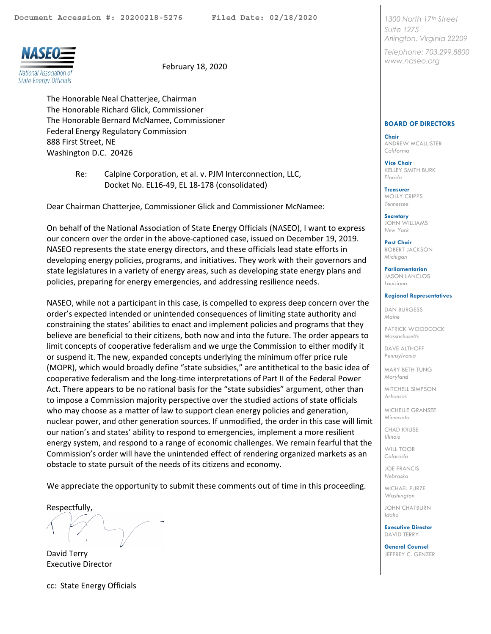<span id="page-0-0"></span>



February 18, 2020

The Honorable Neal Chatterjee, Chairman The Honorable Richard Glick, Commissioner The Honorable Bernard McNamee, Commissioner Federal Energy Regulatory Commission 888 First Street, NE Washington D.C. 20426

> Re: Calpine Corporation, et al. v. PJM Interconnection, LLC, Docket No. EL16-49, EL 18-178 (consolidated)

Dear Chairman Chatterjee, Commissioner Glick and Commissioner McNamee:

On behalf of the National Association of State Energy Officials (NASEO), I want to express our concern over the order in the above-captioned case, issued on December 19, 2019. NASEO represents the state energy directors, and these officials lead state efforts in developing energy policies, programs, and initiatives. They work with their governors and state legislatures in a variety of energy areas, such as developing state energy plans and policies, preparing for energy emergencies, and addressing resilience needs.

NASEO, while not a participant in this case, is compelled to express deep concern over the order's expected intended or unintended consequences of limiting state authority and constraining the states' abilities to enact and implement policies and programs that they believe are beneficial to their citizens, both now and into the future. The order appears to limit concepts of cooperative federalism and we urge the Commission to either modify it or suspend it. The new, expanded concepts underlying the minimum offer price rule (MOPR), which would broadly define "state subsidies," are antithetical to the basic idea of cooperative federalism and the long-time interpretations of Part II of the Federal Power Act. There appears to be no rational basis for the "state subsidies" argument, other than to impose a Commission majority perspective over the studied actions of state officials who may choose as a matter of law to support clean energy policies and generation, nuclear power, and other generation sources. If unmodified, the order in this case will limit our nation's and states' ability to respond to emergencies, implement a more resilient energy system, and respond to a range of economic challenges. We remain fearful that the Commission's order will have the unintended effect of rendering organized markets as an obstacle to state pursuit of the needs of its citizens and economy.

We appreciate the opportunity to submit these comments out of time in this proceeding.

Respectfully,

David Terry Executive Director

cc: State Energy Officials

*1300 North 17th Street Suite 1275 Arlington, Virginia 22209*

*Telephone: 703.299.8800 www.naseo.org*

## **BOARD OF DIRECTORS**

**Chair** ANDREW MCALLISTER *California*

**Vice Chair** KELLEY SMITH BURK *Florida*

**Treasurer**  MOLLY CRIPPS *Tennessee*

**Secretary** JOHN WILLIAMS *New York*

**Past Chair** ROBERT JACKSON *Michigan*

**Parliamentarian**

JASON LANCLOS *Louisiana*

## **Regional Representatives**

DAN BURGESS *Maine*

PATRICK WOODCOCK *Massachusetts*

DAVE ALTHOFF *Pennsylvania* 

MARY BETH TUNG *Maryland*

MITCHELL SIMPSON *Arkansas*

MICHELLE GRANSEE *Minnesota*

CHAD KRUSE *Illinois*

WILL TOOR *Colorado*

JOE FRANCIS *Nebraska*

MICHAEL FURZE *Washington* 

JOHN CHATBURN *Idaho*

**Executive Director** DAVID TERRY

**General Counsel** JEFFREY C. GENZER